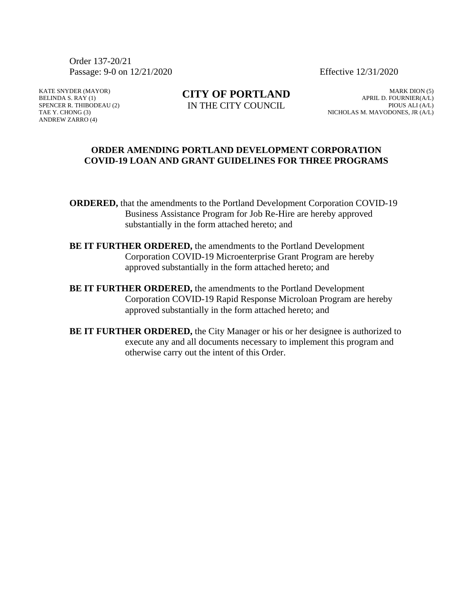Order 137-20/21 Passage: 9-0 on 12/21/2020 Effective 12/31/2020

KATE SNYDER (MAYOR) BELINDA S. RAY (1) SPENCER R. THIBODEAU (2) TAE Y. CHONG (3) ANDREW ZARRO (4)

**CITY OF PORTLAND** IN THE CITY COUNCIL

MARK DION (5) APRIL D. FOURNIER(A/L) PIOUS ALI (A/L) NICHOLAS M. MAVODONES, JR (A/L)

#### **ORDER AMENDING PORTLAND DEVELOPMENT CORPORATION COVID-19 LOAN AND GRANT GUIDELINES FOR THREE PROGRAMS**

**ORDERED,** that the amendments to the Portland Development Corporation COVID-19 Business Assistance Program for Job Re-Hire are hereby approved substantially in the form attached hereto; and

- **BE IT FURTHER ORDERED,** the amendments to the Portland Development Corporation COVID-19 Microenterprise Grant Program are hereby approved substantially in the form attached hereto; and
- **BE IT FURTHER ORDERED,** the amendments to the Portland Development Corporation COVID-19 Rapid Response Microloan Program are hereby approved substantially in the form attached hereto; and
- **BE IT FURTHER ORDERED,** the City Manager or his or her designee is authorized to execute any and all documents necessary to implement this program and otherwise carry out the intent of this Order.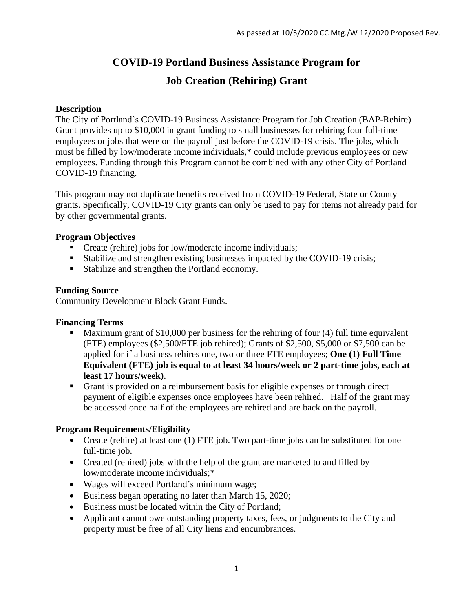# **COVID-19 Portland Business Assistance Program for**

# **Job Creation (Rehiring) Grant**

### **Description**

The City of Portland's COVID-19 Business Assistance Program for Job Creation (BAP-Rehire) Grant provides up to \$10,000 in grant funding to small businesses for rehiring four full-time employees or jobs that were on the payroll just before the COVID-19 crisis. The jobs, which must be filled by low/moderate income individuals,\* could include previous employees or new employees. Funding through this Program cannot be combined with any other City of Portland COVID-19 financing.

This program may not duplicate benefits received from COVID-19 Federal, State or County grants. Specifically, COVID-19 City grants can only be used to pay for items not already paid for by other governmental grants.

# **Program Objectives**

- Create (rehire) jobs for low/moderate income individuals;
- Stabilize and strengthen existing businesses impacted by the COVID-19 crisis;
- Stabilize and strengthen the Portland economy.

# **Funding Source**

Community Development Block Grant Funds.

#### **Financing Terms**

- Maximum grant of \$10,000 per business for the rehiring of four (4) full time equivalent (FTE) employees (\$2,500/FTE job rehired); Grants of \$2,500, \$5,000 or \$7,500 can be applied for if a business rehires one, two or three FTE employees; **One (1) Full Time Equivalent (FTE) job is equal to at least 34 hours/week or 2 part-time jobs, each at least 17 hours/week)**.
- Grant is provided on a reimbursement basis for eligible expenses or through direct payment of eligible expenses once employees have been rehired. Half of the grant may be accessed once half of the employees are rehired and are back on the payroll.

#### **Program Requirements/Eligibility**

- Create (rehire) at least one (1) FTE job. Two part-time jobs can be substituted for one full-time job.
- Created (rehired) jobs with the help of the grant are marketed to and filled by low/moderate income individuals;\*
- Wages will exceed Portland's minimum wage;
- Business began operating no later than March 15, 2020;
- Business must be located within the City of Portland;
- Applicant cannot owe outstanding property taxes, fees, or judgments to the City and property must be free of all City liens and encumbrances.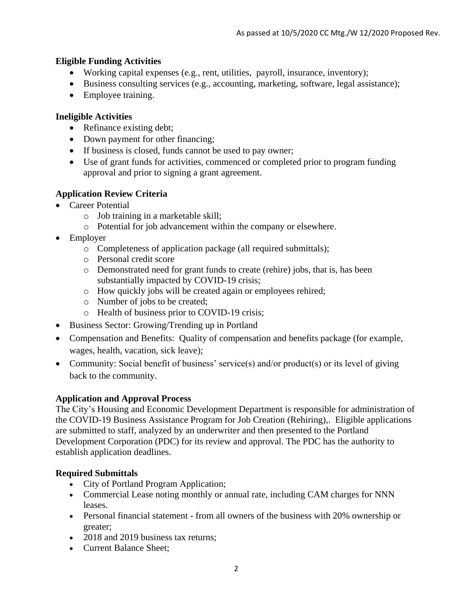# **Eligible Funding Activities**

- Working capital expenses (e.g., rent, utilities, payroll, insurance, inventory);
- Business consulting services (e.g., accounting, marketing, software, legal assistance);
- Employee training.

### **Ineligible Activities**

- Refinance existing debt;
- Down payment for other financing;
- If business is closed, funds cannot be used to pay owner;
- Use of grant funds for activities, commenced or completed prior to program funding approval and prior to signing a grant agreement.

# **Application Review Criteria**

- Career Potential
	- o Job training in a marketable skill;
	- o Potential for job advancement within the company or elsewhere.
- Employer
	- o Completeness of application package (all required submittals);
	- o Personal credit score
	- o Demonstrated need for grant funds to create (rehire) jobs, that is, has been substantially impacted by COVID-19 crisis;
	- o How quickly jobs will be created again or employees rehired;
	- o Number of jobs to be created;
	- o Health of business prior to COVID-19 crisis;
- Business Sector: Growing/Trending up in Portland
- Compensation and Benefits: Quality of compensation and benefits package (for example, wages, health, vacation, sick leave);
- Community: Social benefit of business' service(s) and/or product(s) or its level of giving back to the community.

#### **Application and Approval Process**

The City's Housing and Economic Development Department is responsible for administration of the COVID-19 Business Assistance Program for Job Creation (Rehiring),. Eligible applications are submitted to staff, analyzed by an underwriter and then presented to the Portland Development Corporation (PDC) for its review and approval. The PDC has the authority to establish application deadlines.

#### **Required Submittals**

- City of Portland Program Application;
- Commercial Lease noting monthly or annual rate, including CAM charges for NNN leases.
- Personal financial statement from all owners of the business with 20% ownership or greater;
- 2018 and 2019 business tax returns;
- Current Balance Sheet;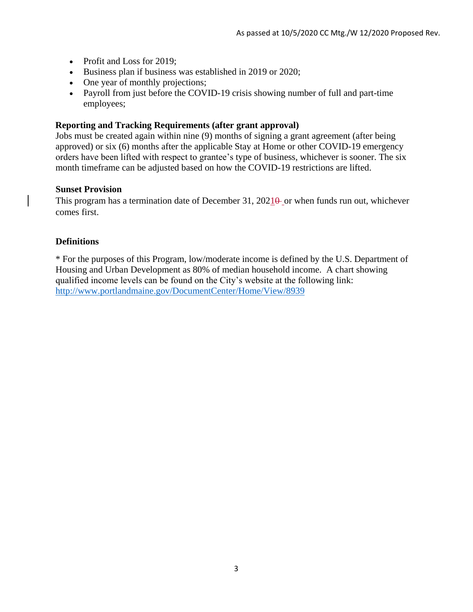- Profit and Loss for 2019;
- Business plan if business was established in 2019 or 2020;
- One year of monthly projections;
- Payroll from just before the COVID-19 crisis showing number of full and part-time employees;

#### **Reporting and Tracking Requirements (after grant approval)**

Jobs must be created again within nine (9) months of signing a grant agreement (after being approved) or six (6) months after the applicable Stay at Home or other COVID-19 emergency orders have been lifted with respect to grantee's type of business, whichever is sooner. The six month timeframe can be adjusted based on how the COVID-19 restrictions are lifted.

#### **Sunset Provision**

This program has a termination date of December 31,  $2021\theta$  or when funds run out, whichever comes first.

#### **Definitions**

\* For the purposes of this Program, low/moderate income is defined by the U.S. Department of Housing and Urban Development as 80% of median household income. A chart showing qualified income levels can be found on the City's website at the following link: <http://www.portlandmaine.gov/DocumentCenter/Home/View/8939>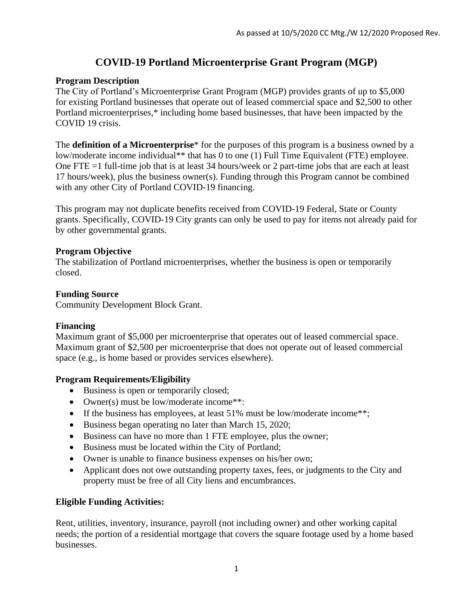# **COVID-19 Portland Microenterprise Grant Program (MGP)**

### **Program Description**

The City of Portland's Microenterprise Grant Program (MGP) provides grants of up to \$5,000 for existing Portland businesses that operate out of leased commercial space and \$2,500 to other Portland microenterprises,\* including home based businesses, that have been impacted by the COVID 19 crisis.

The **definition of a Microenterprise**\* for the purposes of this program is a business owned by a low/moderate income individual\*\* that has 0 to one (1) Full Time Equivalent (FTE) employee. One FTE =1 full-time job that is at least 34 hours/week or 2 part-time jobs that are each at least 17 hours/week), plus the business owner(s). Funding through this Program cannot be combined with any other City of Portland COVID-19 financing.

This program may not duplicate benefits received from COVID-19 Federal, State or County grants. Specifically, COVID-19 City grants can only be used to pay for items not already paid for by other governmental grants.

#### **Program Objective**

The stabilization of Portland microenterprises, whether the business is open or temporarily closed.

# **Funding Source**

Community Development Block Grant.

#### **Financing**

Maximum grant of \$5,000 per microenterprise that operates out of leased commercial space. Maximum grant of \$2,500 per microenterprise that does not operate out of leased commercial space (e.g., is home based or provides services elsewhere).

#### **Program Requirements/Eligibility**

- Business is open or temporarily closed;
- Owner(s) must be low/moderate income\*\*:
- If the business has employees, at least  $51\%$  must be low/moderate income\*\*;
- Business began operating no later than March 15, 2020;
- Business can have no more than 1 FTE employee, plus the owner;
- Business must be located within the City of Portland;
- Owner is unable to finance business expenses on his/her own;
- Applicant does not owe outstanding property taxes, fees, or judgments to the City and property must be free of all City liens and encumbrances.

# **Eligible Funding Activities:**

Rent, utilities, inventory, insurance, payroll (not including owner) and other working capital needs; the portion of a residential mortgage that covers the square footage used by a home based businesses.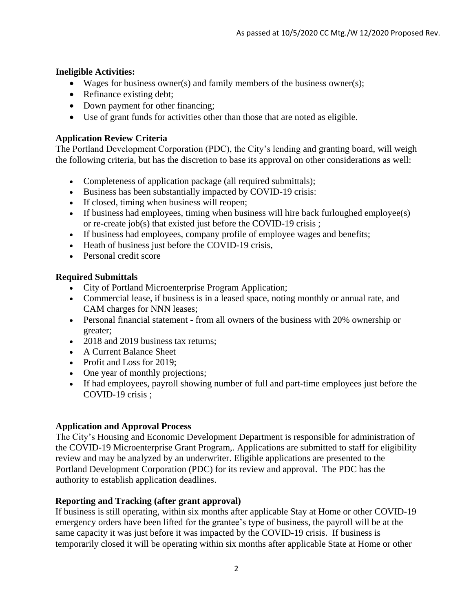#### **Ineligible Activities:**

- Wages for business owner(s) and family members of the business owner(s);
- Refinance existing debt;
- Down payment for other financing;
- Use of grant funds for activities other than those that are noted as eligible.

# **Application Review Criteria**

The Portland Development Corporation (PDC), the City's lending and granting board, will weigh the following criteria, but has the discretion to base its approval on other considerations as well:

- Completeness of application package (all required submittals);
- Business has been substantially impacted by COVID-19 crisis:
- If closed, timing when business will reopen;
- If business had employees, timing when business will hire back furloughed employee(s) or re-create job(s) that existed just before the COVID-19 crisis ;
- If business had employees, company profile of employee wages and benefits;
- Heath of business just before the COVID-19 crisis,
- Personal credit score

# **Required Submittals**

- City of Portland Microenterprise Program Application;
- Commercial lease, if business is in a leased space, noting monthly or annual rate, and CAM charges for NNN leases;
- Personal financial statement from all owners of the business with 20% ownership or greater;
- 2018 and 2019 business tax returns;
- A Current Balance Sheet
- Profit and Loss for 2019;
- One year of monthly projections;
- If had employees, payroll showing number of full and part-time employees just before the COVID-19 crisis ;

#### **Application and Approval Process**

The City's Housing and Economic Development Department is responsible for administration of the COVID-19 Microenterprise Grant Program,. Applications are submitted to staff for eligibility review and may be analyzed by an underwriter. Eligible applications are presented to the Portland Development Corporation (PDC) for its review and approval. The PDC has the authority to establish application deadlines.

#### **Reporting and Tracking (after grant approval)**

If business is still operating, within six months after applicable Stay at Home or other COVID-19 emergency orders have been lifted for the grantee's type of business, the payroll will be at the same capacity it was just before it was impacted by the COVID-19 crisis. If business is temporarily closed it will be operating within six months after applicable State at Home or other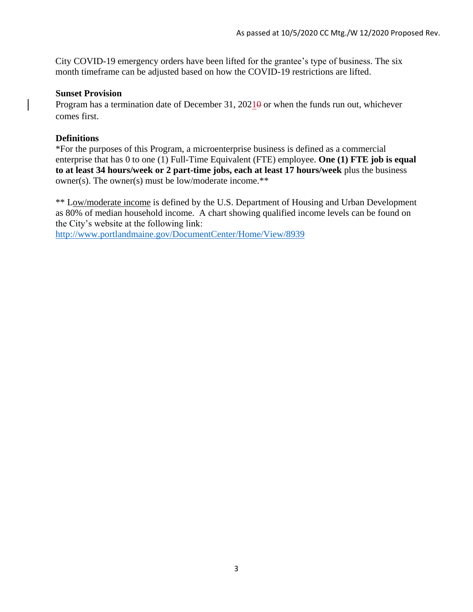City COVID-19 emergency orders have been lifted for the grantee's type of business. The six month timeframe can be adjusted based on how the COVID-19 restrictions are lifted.

#### **Sunset Provision**

Program has a termination date of December 31,  $2021\theta$  or when the funds run out, whichever comes first.

#### **Definitions**

\*For the purposes of this Program, a microenterprise business is defined as a commercial enterprise that has 0 to one (1) Full-Time Equivalent (FTE) employee. **One (1) FTE job is equal to at least 34 hours/week or 2 part-time jobs, each at least 17 hours/week** plus the business owner(s). The owner(s) must be low/moderate income.\*\*

\*\* Low/moderate income is defined by the U.S. Department of Housing and Urban Development as 80% of median household income. A chart showing qualified income levels can be found on the City's website at the following link:

<http://www.portlandmaine.gov/DocumentCenter/Home/View/8939>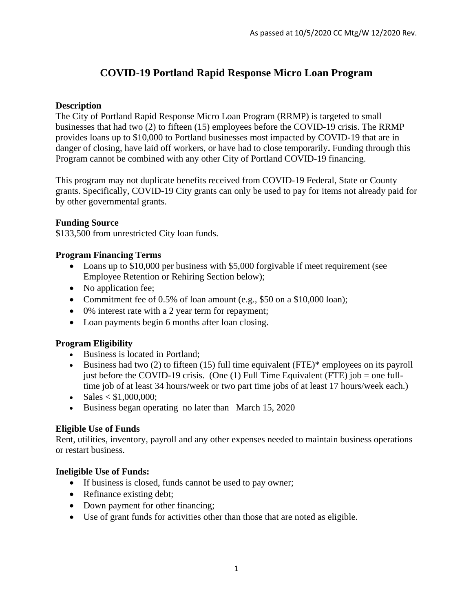# **COVID-19 Portland Rapid Response Micro Loan Program**

### **Description**

The City of Portland Rapid Response Micro Loan Program (RRMP) is targeted to small businesses that had two (2) to fifteen (15) employees before the COVID-19 crisis. The RRMP provides loans up to \$10,000 to Portland businesses most impacted by COVID-19 that are in danger of closing, have laid off workers, or have had to close temporarily**.** Funding through this Program cannot be combined with any other City of Portland COVID-19 financing.

This program may not duplicate benefits received from COVID-19 Federal, State or County grants. Specifically, COVID-19 City grants can only be used to pay for items not already paid for by other governmental grants.

#### **Funding Source**

\$133,500 from unrestricted City loan funds.

# **Program Financing Terms**

- Loans up to \$10,000 per business with \$5,000 forgivable if meet requirement (see Employee Retention or Rehiring Section below);
- No application fee;
- Commitment fee of 0.5% of loan amount (e.g., \$50 on a \$10,000 loan);
- 0% interest rate with a 2 year term for repayment;
- Loan payments begin 6 months after loan closing.

#### **Program Eligibility**

- Business is located in Portland;
- Business had two (2) to fifteen (15) full time equivalent (FTE)\* employees on its payroll just before the COVID-19 crisis. (One (1) Full Time Equivalent (FTE) job = one fulltime job of at least 34 hours/week or two part time jobs of at least 17 hours/week each.)
- $\blacktriangleright$  Sales  $\lt$  \$1,000,000;
- Business began operating no later than March 15, 2020

# **Eligible Use of Funds**

Rent, utilities, inventory, payroll and any other expenses needed to maintain business operations or restart business.

#### **Ineligible Use of Funds:**

- If business is closed, funds cannot be used to pay owner;
- Refinance existing debt;
- Down payment for other financing;
- Use of grant funds for activities other than those that are noted as eligible.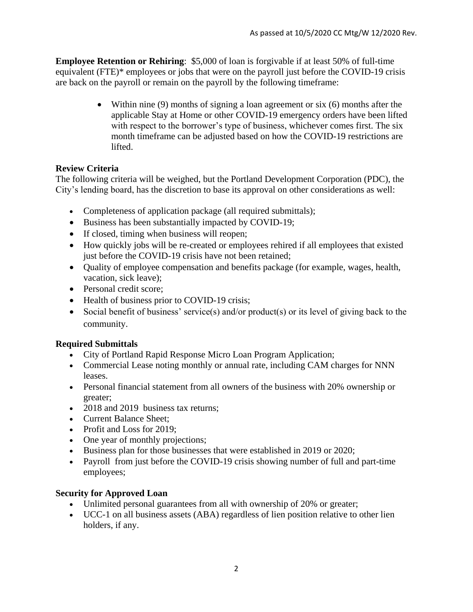**Employee Retention or Rehiring**: \$5,000 of loan is forgivable if at least 50% of full-time equivalent (FTE)\* employees or jobs that were on the payroll just before the COVID-19 crisis are back on the payroll or remain on the payroll by the following timeframe:

> • Within nine  $(9)$  months of signing a loan agreement or six  $(6)$  months after the applicable Stay at Home or other COVID-19 emergency orders have been lifted with respect to the borrower's type of business, whichever comes first. The six month timeframe can be adjusted based on how the COVID-19 restrictions are lifted.

# **Review Criteria**

The following criteria will be weighed, but the Portland Development Corporation (PDC), the City's lending board, has the discretion to base its approval on other considerations as well:

- Completeness of application package (all required submittals);
- Business has been substantially impacted by COVID-19;
- If closed, timing when business will reopen;
- How quickly jobs will be re-created or employees rehired if all employees that existed just before the COVID-19 crisis have not been retained;
- Quality of employee compensation and benefits package (for example, wages, health, vacation, sick leave);
- Personal credit score;
- Health of business prior to COVID-19 crisis;
- Social benefit of business' service(s) and/or product(s) or its level of giving back to the community.

# **Required Submittals**

- City of Portland Rapid Response Micro Loan Program Application;
- Commercial Lease noting monthly or annual rate, including CAM charges for NNN leases.
- Personal financial statement from all owners of the business with 20% ownership or greater;
- 2018 and 2019 business tax returns;
- Current Balance Sheet:
- Profit and Loss for 2019;
- One year of monthly projections;
- Business plan for those businesses that were established in 2019 or 2020;
- Payroll from just before the COVID-19 crisis showing number of full and part-time employees;

# **Security for Approved Loan**

- Unlimited personal guarantees from all with ownership of 20% or greater;
- UCC-1 on all business assets (ABA) regardless of lien position relative to other lien holders, if any.